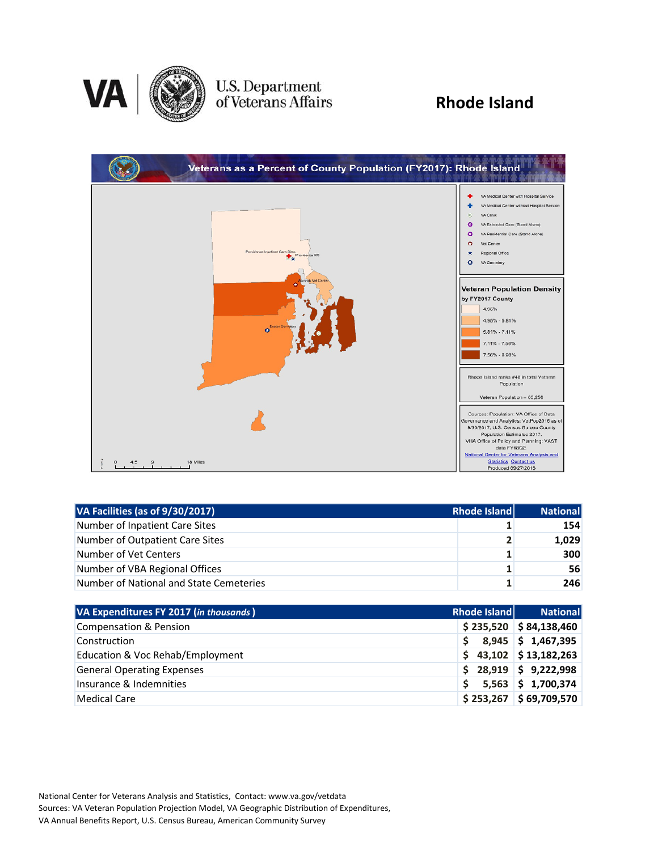

# U.S. Department<br>of Veterans Affairs

### **Rhode Island**



| VA Facilities (as of 9/30/2017)         | Rhode Island | National   |
|-----------------------------------------|--------------|------------|
| Number of Inpatient Care Sites          |              | <b>154</b> |
| Number of Outpatient Care Sites         | $\mathbf{2}$ | 1,029      |
| Number of Vet Centers                   |              | 300        |
| Number of VBA Regional Offices          | 1.           | 56         |
| Number of National and State Cemeteries |              | 246        |

| VA Expenditures FY 2017 (in thousands) | Rhode Island | <b>National</b>          |
|----------------------------------------|--------------|--------------------------|
| Compensation & Pension                 |              | $$235,520$ $$84,138,460$ |
| Construction                           | S.           | $8,945$ \$ 1,467,395     |
| Education & Voc Rehab/Employment       |              | $$43,102$ $$13,182,263$  |
| <b>General Operating Expenses</b>      |              | $$28,919$ $$9,222,998$   |
| Insurance & Indemnities                |              | $5,563$ \$ 1,700,374     |
| Medical Care                           | \$253,267    | \$69,709,570             |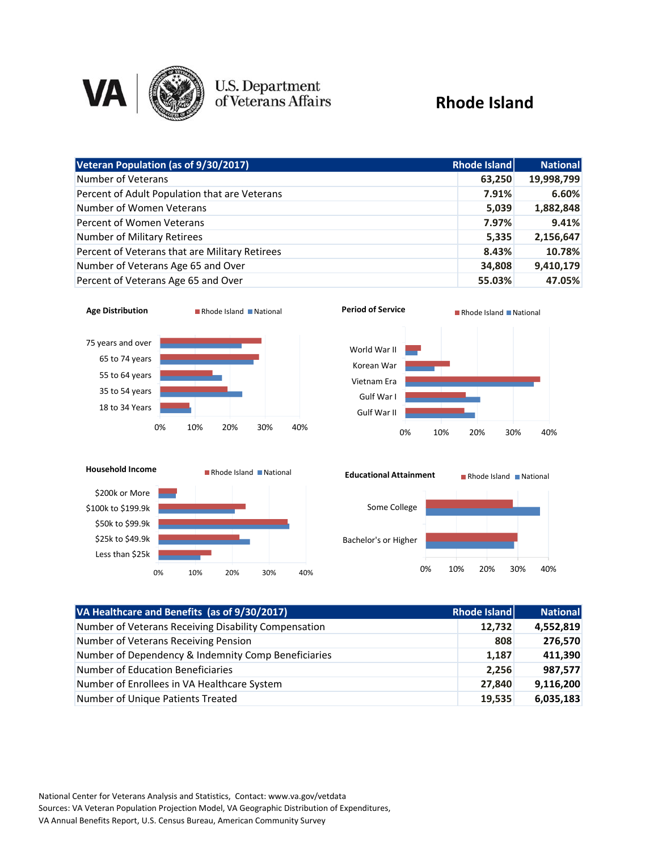

## **U.S. Department**<br>of Veterans Affairs

#### **Rhode Island**

| Veteran Population (as of 9/30/2017)           | Rhode Island | <b>National</b> |
|------------------------------------------------|--------------|-----------------|
| Number of Veterans                             | 63,250       | 19,998,799      |
| Percent of Adult Population that are Veterans  | 7.91%        | 6.60%           |
| Number of Women Veterans                       | 5,039        | 1,882,848       |
| Percent of Women Veterans                      | 7.97%        | 9.41%           |
| Number of Military Retirees                    | 5,335        | 2,156,647       |
| Percent of Veterans that are Military Retirees | 8.43%        | 10.78%          |
| Number of Veterans Age 65 and Over             | 34,808       | 9,410,179       |
| Percent of Veterans Age 65 and Over            | 55.03%       | 47.05%          |







| VA Healthcare and Benefits (as of 9/30/2017)         | <b>Rhode Island</b> | <b>National</b> |
|------------------------------------------------------|---------------------|-----------------|
| Number of Veterans Receiving Disability Compensation | 12.732              | 4,552,819       |
| Number of Veterans Receiving Pension                 | 808                 | 276,570         |
| Number of Dependency & Indemnity Comp Beneficiaries  | 1,187               | 411,390         |
| <b>Number of Education Beneficiaries</b>             | 2,256               | 987,577         |
| Number of Enrollees in VA Healthcare System          | 27,840              | 9,116,200       |
| Number of Unique Patients Treated                    | 19,535              | 6,035,183       |